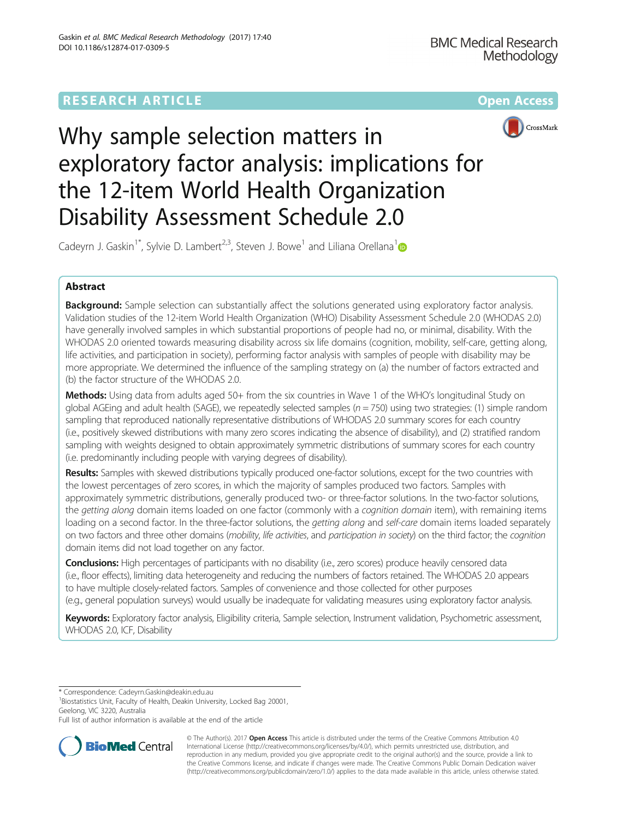# **RESEARCH ARTICLE Example 2014 12:30 The Contract of Contract Article 2014**





# Why sample selection matters in exploratory factor analysis: implications for the 12-item World Health Organization Disability Assessment Schedule 2.0

Cadeyrn J. Gaskin<sup>[1](http://orcid.org/0000-0003-3736-4337)\*</sup>, Sylvie D. Lambert<sup>2,3</sup>, Steven J. Bowe<sup>1</sup> and Liliana Orellana<sup>1</sup>

# Abstract

Background: Sample selection can substantially affect the solutions generated using exploratory factor analysis. Validation studies of the 12-item World Health Organization (WHO) Disability Assessment Schedule 2.0 (WHODAS 2.0) have generally involved samples in which substantial proportions of people had no, or minimal, disability. With the WHODAS 2.0 oriented towards measuring disability across six life domains (cognition, mobility, self-care, getting along, life activities, and participation in society), performing factor analysis with samples of people with disability may be more appropriate. We determined the influence of the sampling strategy on (a) the number of factors extracted and (b) the factor structure of the WHODAS 2.0.

Methods: Using data from adults aged 50+ from the six countries in Wave 1 of the WHO's longitudinal Study on global AGEing and adult health (SAGE), we repeatedly selected samples ( $n = 750$ ) using two strategies: (1) simple random sampling that reproduced nationally representative distributions of WHODAS 2.0 summary scores for each country (i.e., positively skewed distributions with many zero scores indicating the absence of disability), and (2) stratified random sampling with weights designed to obtain approximately symmetric distributions of summary scores for each country (i.e. predominantly including people with varying degrees of disability).

Results: Samples with skewed distributions typically produced one-factor solutions, except for the two countries with the lowest percentages of zero scores, in which the majority of samples produced two factors. Samples with approximately symmetric distributions, generally produced two- or three-factor solutions. In the two-factor solutions, the getting along domain items loaded on one factor (commonly with a cognition domain item), with remaining items loading on a second factor. In the three-factor solutions, the getting along and self-care domain items loaded separately on two factors and three other domains (mobility, life activities, and participation in society) on the third factor; the cognition domain items did not load together on any factor.

Conclusions: High percentages of participants with no disability (i.e., zero scores) produce heavily censored data (i.e., floor effects), limiting data heterogeneity and reducing the numbers of factors retained. The WHODAS 2.0 appears to have multiple closely-related factors. Samples of convenience and those collected for other purposes (e.g., general population surveys) would usually be inadequate for validating measures using exploratory factor analysis.

Keywords: Exploratory factor analysis, Eligibility criteria, Sample selection, Instrument validation, Psychometric assessment, WHODAS 2.0, ICF, Disability

\* Correspondence: [Cadeyrn.Gaskin@deakin.edu.au](mailto:Cadeyrn.Gaskin@deakin.edu.au) <sup>1</sup>

<sup>1</sup> Biostatistics Unit, Faculty of Health, Deakin University, Locked Bag 20001, Geelong, VIC 3220, Australia

Full list of author information is available at the end of the article



© The Author(s). 2017 **Open Access** This article is distributed under the terms of the Creative Commons Attribution 4.0 International License [\(http://creativecommons.org/licenses/by/4.0/](http://creativecommons.org/licenses/by/4.0/)), which permits unrestricted use, distribution, and reproduction in any medium, provided you give appropriate credit to the original author(s) and the source, provide a link to the Creative Commons license, and indicate if changes were made. The Creative Commons Public Domain Dedication waiver [\(http://creativecommons.org/publicdomain/zero/1.0/](http://creativecommons.org/publicdomain/zero/1.0/)) applies to the data made available in this article, unless otherwise stated.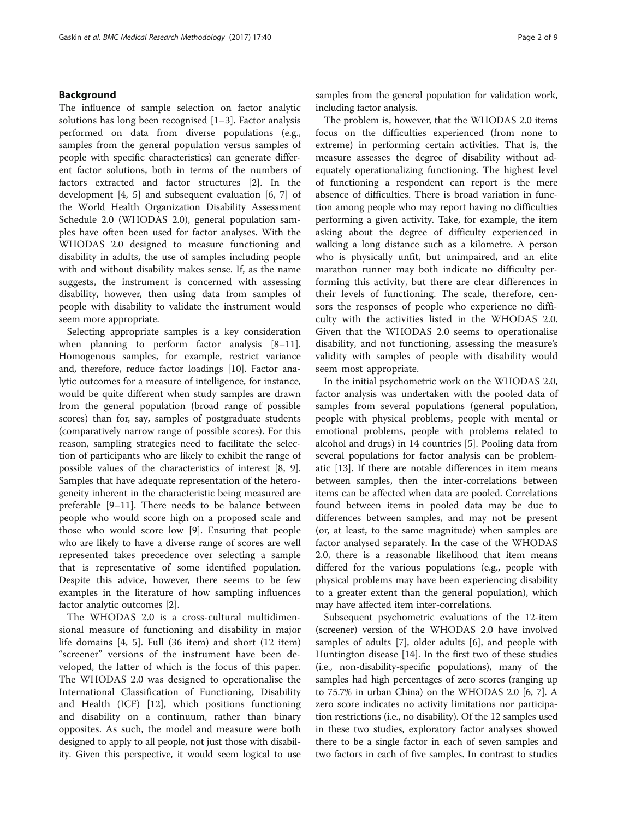## Background

The influence of sample selection on factor analytic solutions has long been recognised [\[1](#page-8-0)–[3](#page-8-0)]. Factor analysis performed on data from diverse populations (e.g., samples from the general population versus samples of people with specific characteristics) can generate different factor solutions, both in terms of the numbers of factors extracted and factor structures [\[2](#page-8-0)]. In the development [[4, 5\]](#page-8-0) and subsequent evaluation [\[6, 7](#page-8-0)] of the World Health Organization Disability Assessment Schedule 2.0 (WHODAS 2.0), general population samples have often been used for factor analyses. With the WHODAS 2.0 designed to measure functioning and disability in adults, the use of samples including people with and without disability makes sense. If, as the name suggests, the instrument is concerned with assessing disability, however, then using data from samples of people with disability to validate the instrument would seem more appropriate.

Selecting appropriate samples is a key consideration when planning to perform factor analysis [[8](#page-8-0)–[11](#page-8-0)]. Homogenous samples, for example, restrict variance and, therefore, reduce factor loadings [\[10\]](#page-8-0). Factor analytic outcomes for a measure of intelligence, for instance, would be quite different when study samples are drawn from the general population (broad range of possible scores) than for, say, samples of postgraduate students (comparatively narrow range of possible scores). For this reason, sampling strategies need to facilitate the selection of participants who are likely to exhibit the range of possible values of the characteristics of interest [\[8](#page-8-0), [9](#page-8-0)]. Samples that have adequate representation of the heterogeneity inherent in the characteristic being measured are preferable [\[9](#page-8-0)–[11](#page-8-0)]. There needs to be balance between people who would score high on a proposed scale and those who would score low [[9](#page-8-0)]. Ensuring that people who are likely to have a diverse range of scores are well represented takes precedence over selecting a sample that is representative of some identified population. Despite this advice, however, there seems to be few examples in the literature of how sampling influences factor analytic outcomes [\[2\]](#page-8-0).

The WHODAS 2.0 is a cross-cultural multidimensional measure of functioning and disability in major life domains [\[4](#page-8-0), [5\]](#page-8-0). Full (36 item) and short (12 item) "screener" versions of the instrument have been developed, the latter of which is the focus of this paper. The WHODAS 2.0 was designed to operationalise the International Classification of Functioning, Disability and Health (ICF) [[12](#page-8-0)], which positions functioning and disability on a continuum, rather than binary opposites. As such, the model and measure were both designed to apply to all people, not just those with disability. Given this perspective, it would seem logical to use samples from the general population for validation work, including factor analysis.

The problem is, however, that the WHODAS 2.0 items focus on the difficulties experienced (from none to extreme) in performing certain activities. That is, the measure assesses the degree of disability without adequately operationalizing functioning. The highest level of functioning a respondent can report is the mere absence of difficulties. There is broad variation in function among people who may report having no difficulties performing a given activity. Take, for example, the item asking about the degree of difficulty experienced in walking a long distance such as a kilometre. A person who is physically unfit, but unimpaired, and an elite marathon runner may both indicate no difficulty performing this activity, but there are clear differences in their levels of functioning. The scale, therefore, censors the responses of people who experience no difficulty with the activities listed in the WHODAS 2.0. Given that the WHODAS 2.0 seems to operationalise disability, and not functioning, assessing the measure's validity with samples of people with disability would seem most appropriate.

In the initial psychometric work on the WHODAS 2.0, factor analysis was undertaken with the pooled data of samples from several populations (general population, people with physical problems, people with mental or emotional problems, people with problems related to alcohol and drugs) in 14 countries [[5](#page-8-0)]. Pooling data from several populations for factor analysis can be problematic [\[13](#page-8-0)]. If there are notable differences in item means between samples, then the inter-correlations between items can be affected when data are pooled. Correlations found between items in pooled data may be due to differences between samples, and may not be present (or, at least, to the same magnitude) when samples are factor analysed separately. In the case of the WHODAS 2.0, there is a reasonable likelihood that item means differed for the various populations (e.g., people with physical problems may have been experiencing disability to a greater extent than the general population), which may have affected item inter-correlations.

Subsequent psychometric evaluations of the 12-item (screener) version of the WHODAS 2.0 have involved samples of adults [\[7\]](#page-8-0), older adults [\[6](#page-8-0)], and people with Huntington disease [[14\]](#page-8-0). In the first two of these studies (i.e., non-disability-specific populations), many of the samples had high percentages of zero scores (ranging up to 75.7% in urban China) on the WHODAS 2.0 [[6, 7](#page-8-0)]. A zero score indicates no activity limitations nor participation restrictions (i.e., no disability). Of the 12 samples used in these two studies, exploratory factor analyses showed there to be a single factor in each of seven samples and two factors in each of five samples. In contrast to studies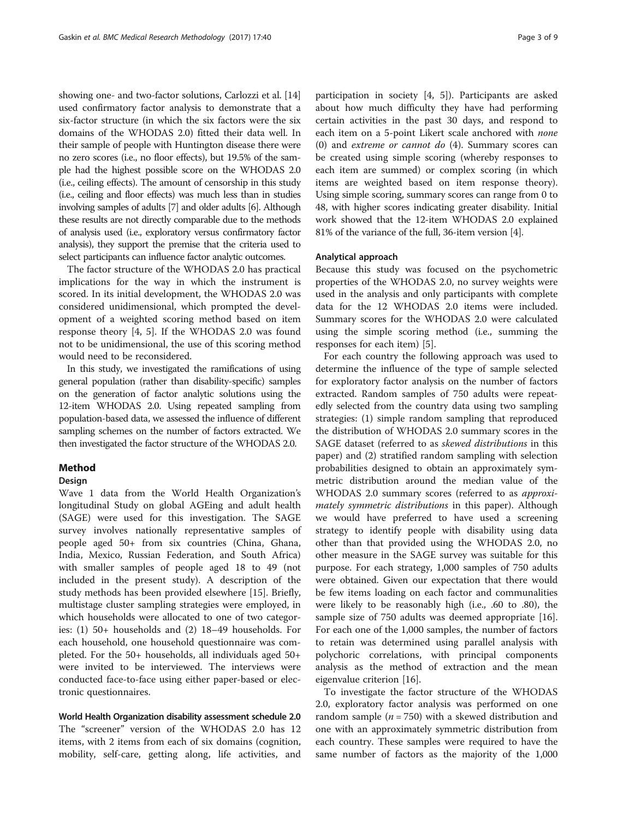showing one- and two-factor solutions, Carlozzi et al. [[14](#page-8-0)] used confirmatory factor analysis to demonstrate that a six-factor structure (in which the six factors were the six domains of the WHODAS 2.0) fitted their data well. In their sample of people with Huntington disease there were no zero scores (i.e., no floor effects), but 19.5% of the sample had the highest possible score on the WHODAS 2.0 (i.e., ceiling effects). The amount of censorship in this study (i.e., ceiling and floor effects) was much less than in studies involving samples of adults [\[7\]](#page-8-0) and older adults [\[6\]](#page-8-0). Although these results are not directly comparable due to the methods of analysis used (i.e., exploratory versus confirmatory factor analysis), they support the premise that the criteria used to select participants can influence factor analytic outcomes.

The factor structure of the WHODAS 2.0 has practical implications for the way in which the instrument is scored. In its initial development, the WHODAS 2.0 was considered unidimensional, which prompted the development of a weighted scoring method based on item response theory [[4, 5](#page-8-0)]. If the WHODAS 2.0 was found not to be unidimensional, the use of this scoring method would need to be reconsidered.

In this study, we investigated the ramifications of using general population (rather than disability-specific) samples on the generation of factor analytic solutions using the 12-item WHODAS 2.0. Using repeated sampling from population-based data, we assessed the influence of different sampling schemes on the number of factors extracted. We then investigated the factor structure of the WHODAS 2.0.

# Method

#### Design

Wave 1 data from the World Health Organization's longitudinal Study on global AGEing and adult health (SAGE) were used for this investigation. The SAGE survey involves nationally representative samples of people aged 50+ from six countries (China, Ghana, India, Mexico, Russian Federation, and South Africa) with smaller samples of people aged 18 to 49 (not included in the present study). A description of the study methods has been provided elsewhere [[15\]](#page-8-0). Briefly, multistage cluster sampling strategies were employed, in which households were allocated to one of two categories: (1) 50+ households and (2) 18–49 households. For each household, one household questionnaire was completed. For the 50+ households, all individuals aged 50+ were invited to be interviewed. The interviews were conducted face-to-face using either paper-based or electronic questionnaires.

World Health Organization disability assessment schedule 2.0 The "screener" version of the WHODAS 2.0 has 12 items, with 2 items from each of six domains (cognition, mobility, self-care, getting along, life activities, and participation in society [\[4](#page-8-0), [5\]](#page-8-0)). Participants are asked about how much difficulty they have had performing certain activities in the past 30 days, and respond to each item on a 5-point Likert scale anchored with *none* (0) and extreme or cannot do (4). Summary scores can be created using simple scoring (whereby responses to each item are summed) or complex scoring (in which items are weighted based on item response theory). Using simple scoring, summary scores can range from 0 to 48, with higher scores indicating greater disability. Initial work showed that the 12-item WHODAS 2.0 explained 81% of the variance of the full, 36-item version [[4](#page-8-0)].

#### Analytical approach

Because this study was focused on the psychometric properties of the WHODAS 2.0, no survey weights were used in the analysis and only participants with complete data for the 12 WHODAS 2.0 items were included. Summary scores for the WHODAS 2.0 were calculated using the simple scoring method (i.e., summing the responses for each item) [[5\]](#page-8-0).

For each country the following approach was used to determine the influence of the type of sample selected for exploratory factor analysis on the number of factors extracted. Random samples of 750 adults were repeatedly selected from the country data using two sampling strategies: (1) simple random sampling that reproduced the distribution of WHODAS 2.0 summary scores in the SAGE dataset (referred to as skewed distributions in this paper) and (2) stratified random sampling with selection probabilities designed to obtain an approximately symmetric distribution around the median value of the WHODAS 2.0 summary scores (referred to as approximately symmetric distributions in this paper). Although we would have preferred to have used a screening strategy to identify people with disability using data other than that provided using the WHODAS 2.0, no other measure in the SAGE survey was suitable for this purpose. For each strategy, 1,000 samples of 750 adults were obtained. Given our expectation that there would be few items loading on each factor and communalities were likely to be reasonably high (i.e., .60 to .80), the sample size of 750 adults was deemed appropriate [\[16](#page-8-0)]. For each one of the 1,000 samples, the number of factors to retain was determined using parallel analysis with polychoric correlations, with principal components analysis as the method of extraction and the mean eigenvalue criterion [\[16](#page-8-0)].

To investigate the factor structure of the WHODAS 2.0, exploratory factor analysis was performed on one random sample ( $n = 750$ ) with a skewed distribution and one with an approximately symmetric distribution from each country. These samples were required to have the same number of factors as the majority of the 1,000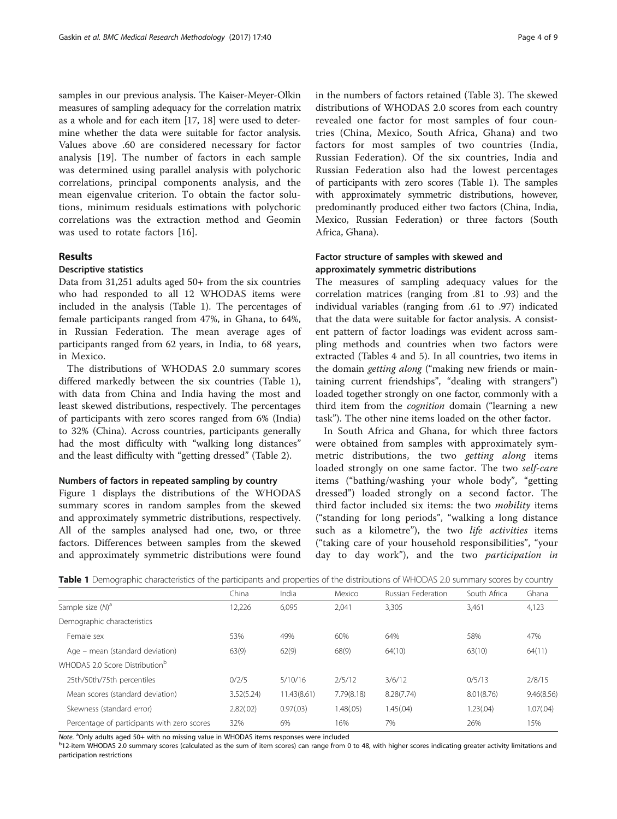samples in our previous analysis. The Kaiser-Meyer-Olkin measures of sampling adequacy for the correlation matrix as a whole and for each item [[17](#page-8-0), [18](#page-8-0)] were used to determine whether the data were suitable for factor analysis. Values above .60 are considered necessary for factor analysis [\[19](#page-8-0)]. The number of factors in each sample was determined using parallel analysis with polychoric correlations, principal components analysis, and the mean eigenvalue criterion. To obtain the factor solutions, minimum residuals estimations with polychoric correlations was the extraction method and Geomin was used to rotate factors [[16\]](#page-8-0).

# Results

### Descriptive statistics

Data from 31,251 adults aged 50+ from the six countries who had responded to all 12 WHODAS items were included in the analysis (Table 1). The percentages of female participants ranged from 47%, in Ghana, to 64%, in Russian Federation. The mean average ages of participants ranged from 62 years, in India, to 68 years, in Mexico.

The distributions of WHODAS 2.0 summary scores differed markedly between the six countries (Table 1), with data from China and India having the most and least skewed distributions, respectively. The percentages of participants with zero scores ranged from 6% (India) to 32% (China). Across countries, participants generally had the most difficulty with "walking long distances" and the least difficulty with "getting dressed" (Table [2](#page-4-0)).

#### Numbers of factors in repeated sampling by country

Figure [1](#page-5-0) displays the distributions of the WHODAS summary scores in random samples from the skewed and approximately symmetric distributions, respectively. All of the samples analysed had one, two, or three factors. Differences between samples from the skewed and approximately symmetric distributions were found in the numbers of factors retained (Table [3](#page-5-0)). The skewed distributions of WHODAS 2.0 scores from each country revealed one factor for most samples of four countries (China, Mexico, South Africa, Ghana) and two factors for most samples of two countries (India, Russian Federation). Of the six countries, India and Russian Federation also had the lowest percentages of participants with zero scores (Table 1). The samples with approximately symmetric distributions, however, predominantly produced either two factors (China, India, Mexico, Russian Federation) or three factors (South Africa, Ghana).

# Factor structure of samples with skewed and approximately symmetric distributions

The measures of sampling adequacy values for the correlation matrices (ranging from .81 to .93) and the individual variables (ranging from .61 to .97) indicated that the data were suitable for factor analysis. A consistent pattern of factor loadings was evident across sampling methods and countries when two factors were extracted (Tables [4](#page-6-0) and [5\)](#page-6-0). In all countries, two items in the domain *getting along* ("making new friends or maintaining current friendships", "dealing with strangers") loaded together strongly on one factor, commonly with a third item from the cognition domain ("learning a new task"). The other nine items loaded on the other factor.

In South Africa and Ghana, for which three factors were obtained from samples with approximately symmetric distributions, the two getting along items loaded strongly on one same factor. The two self-care items ("bathing/washing your whole body", "getting dressed") loaded strongly on a second factor. The third factor included six items: the two *mobility* items ("standing for long periods", "walking a long distance such as a kilometre"), the two life activities items ("taking care of your household responsibilities", "your day to day work"), and the two participation in

| Table 1 Demographic characteristics of the participants and properties of the distributions of WHODAS 2.0 summary scores by country |  |  |
|-------------------------------------------------------------------------------------------------------------------------------------|--|--|
|-------------------------------------------------------------------------------------------------------------------------------------|--|--|

| - 1                                         |            |             |            |                    | $\overline{\phantom{a}}$ |            |
|---------------------------------------------|------------|-------------|------------|--------------------|--------------------------|------------|
|                                             | China      | India       | Mexico     | Russian Federation | South Africa             | Ghana      |
| Sample size (M <sup>a</sup>                 | 12,226     | 6,095       | 2,041      | 3,305              | 3,461                    | 4,123      |
| Demographic characteristics                 |            |             |            |                    |                          |            |
| Female sex                                  | 53%        | 49%         | 60%        | 64%                | 58%                      | 47%        |
| Age – mean (standard deviation)             | 63(9)      | 62(9)       | 68(9)      | 64(10)             | 63(10)                   | 64(11)     |
| WHODAS 2.0 Score Distribution <sup>b</sup>  |            |             |            |                    |                          |            |
| 25th/50th/75th percentiles                  | 0/2/5      | 5/10/16     | 2/5/12     | 3/6/12             | 0/5/13                   | 2/8/15     |
| Mean scores (standard deviation)            | 3.52(5.24) | 11.43(8.61) | 7.79(8.18) | 8.28(7.74)         | 8.01(8.76)               | 9.46(8.56) |
| Skewness (standard error)                   | 2.82(.02)  | 0.97(0.03)  | 1.48(.05)  | 1.45(.04)          | 1.23(.04)                | 1.07(.04)  |
| Percentage of participants with zero scores | 32%        | 6%          | 16%        | 7%                 | 26%                      | 15%        |

Note. <sup>a</sup>Only adults aged 50+ with no missing value in WHODAS items responses were included<br><sup>b</sup>12 item WHODAS 2.0 summary scores (salculated as the sum of item scores) can range from t

<sup>b</sup>12-item WHODAS 2.0 summary scores (calculated as the sum of item scores) can range from 0 to 48, with higher scores indicating greater activity limitations and participation restrictions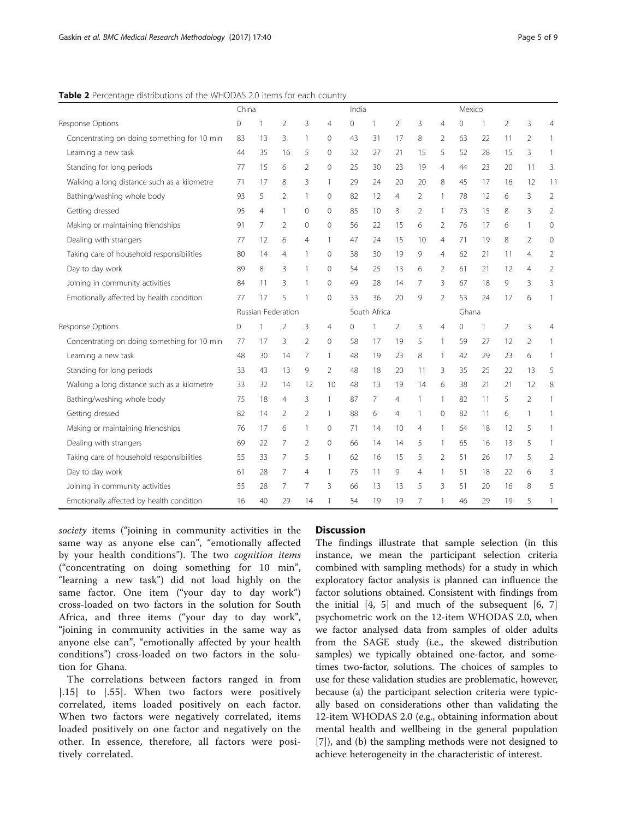<span id="page-4-0"></span>Table 2 Percentage distributions of the WHODAS 2.0 items for each country

|                                             | China              |    |                |                | India          |              |                |                | Mexico         |                |             |    |                |                |                |
|---------------------------------------------|--------------------|----|----------------|----------------|----------------|--------------|----------------|----------------|----------------|----------------|-------------|----|----------------|----------------|----------------|
| Response Options                            | $\mathbf{0}$       | 1  | $\overline{2}$ | 3              | $\overline{4}$ | 0            | 1              | $\overline{2}$ | 3              | $\overline{4}$ | $\mathbf 0$ |    | $\overline{2}$ | 3              | $\overline{4}$ |
| Concentrating on doing something for 10 min | 83                 | 13 | 3              | 1              | 0              | 43           | 31             | 17             | 8              | $\overline{2}$ | 63          | 22 | 11             | 2              | 1              |
| Learning a new task                         | 44                 | 35 | 16             | 5              | $\Omega$       | 32           | 27             | 21             | 15             | 5              | 52          | 28 | 15             | 3              | 1              |
| Standing for long periods                   | 77                 | 15 | 6              | $\overline{2}$ | $\mathbf 0$    | 25           | 30             | 23             | 19             | $\overline{4}$ | 44          | 23 | 20             | 11             | 3              |
| Walking a long distance such as a kilometre | 71                 | 17 | 8              | 3              | $\mathbf{1}$   | 29           | 24             | 20             | 20             | 8              | 45          | 17 | 16             | 12             | 11             |
| Bathing/washing whole body                  | 93                 | 5  | 2              | 1              | $\Omega$       | 82           | 12             | $\overline{4}$ | $\overline{2}$ | $\mathbf{1}$   | 78          | 12 | 6              | 3              | 2              |
| Getting dressed                             | 95                 | 4  | 1              | 0              | 0              | 85           | 10             | 3              | $\overline{2}$ | $\mathbf{1}$   | 73          | 15 | 8              | 3              | 2              |
| Making or maintaining friendships           | 91                 | 7  | 2              | $\Omega$       | $\Omega$       | 56           | 22             | 15             | 6              | $\overline{2}$ | 76          | 17 | 6              | 1              | 0              |
| Dealing with strangers                      | 77                 | 12 | 6              | 4              | 1              | 47           | 24             | 15             | 10             | $\overline{4}$ | 71          | 19 | 8              | 2              | $\mathbf 0$    |
| Taking care of household responsibilities   | 80                 | 14 | $\overline{4}$ | 1              | $\circ$        | 38           | 30             | 19             | 9              | $\overline{4}$ | 62          | 21 | 11             | 4              | 2              |
| Day to day work                             | 89                 | 8  | 3              | $\mathbf{1}$   | $\Omega$       | 54           | 25             | 13             | 6              | 2              | 61          | 21 | 12             | $\overline{4}$ | $\overline{2}$ |
| Joining in community activities             | 84                 | 11 | 3              |                | 0              | 49           | 28             | 14             | 7              | 3              | 67          | 18 | 9              | 3              | 3              |
| Emotionally affected by health condition    | 77                 | 17 | 5              |                | $\mathbf{0}$   | 33           | 36             | 20             | 9              | $\overline{2}$ | 53          | 24 | 17             | 6              | 1              |
|                                             | Russian Federation |    |                |                |                | South Africa |                |                |                |                | Ghana       |    |                |                |                |
| Response Options                            | $\Omega$           |    | 2              | 3              | $\overline{4}$ | 0            |                | 2              | 3              | $\overline{4}$ | 0           |    | $\overline{2}$ | 3              | $\overline{4}$ |
| Concentrating on doing something for 10 min | 77                 | 17 | 3              | $\overline{2}$ | 0              | 58           | 17             | 19             | 5              | -1             | 59          | 27 | 12             | 2              | 1              |
| Learning a new task                         | 48                 | 30 | 14             | 7              | $\mathbf{1}$   | 48           | 19             | 23             | 8              | -1             | 42          | 29 | 23             | 6              | 1              |
| Standing for long periods                   | 33                 | 43 | 13             | 9              | $\overline{2}$ | 48           | 18             | 20             | 11             | 3              | 35          | 25 | 22             | 13             | 5              |
| Walking a long distance such as a kilometre | 33                 | 32 | 14             | 12             | 10             | 48           | 13             | 19             | 14             | 6              | 38          | 21 | 21             | 12             | 8              |
| Bathing/washing whole body                  | 75                 | 18 | $\overline{4}$ | 3              | $\mathbf{1}$   | 87           | $\overline{7}$ | $\overline{4}$ | $\mathbf{1}$   | 1              | 82          | 11 | 5              | $\mathfrak{D}$ | 1              |
| Getting dressed                             | 82                 | 14 | 2              | $\overline{2}$ | $\mathbf{1}$   | 88           | 6              | 4              | $\mathbf{1}$   | 0              | 82          | 11 | 6              | $\mathbf{1}$   | 1              |
| Making or maintaining friendships           | 76                 | 17 | 6              | 1              | $\circ$        | 71           | 14             | 10             | $\overline{4}$ | $\mathbf{1}$   | 64          | 18 | 12             | 5              | 1              |
| Dealing with strangers                      | 69                 | 22 | $\overline{7}$ | $\overline{2}$ | $\mathbf 0$    | 66           | 14             | 14             | 5              | -1             | 65          | 16 | 13             | 5              | 1              |
| Taking care of household responsibilities   | 55                 | 33 | 7.             | 5              | 1              | 62           | 16             | 15             | 5              | 2              | 51          | 26 | 17             | 5              | 2              |
| Day to day work                             | 61                 | 28 | $\overline{7}$ | 4              | $\mathbf{1}$   | 75           | 11             | 9              | 4              | -1             | 51          | 18 | 22             | 6              | 3              |
| Joining in community activities             | 55                 | 28 | $\overline{7}$ | 7              | 3              | 66           | 13             | 13             | 5              | 3              | 51          | 20 | 16             | 8              | 5              |
| Emotionally affected by health condition    | 16                 | 40 | 29             | 14             | 1              | 54           | 19             | 19             | 7              |                | 46          | 29 | 19             | 5              |                |

society items ("joining in community activities in the same way as anyone else can", "emotionally affected by your health conditions"). The two cognition items ("concentrating on doing something for 10 min", "learning a new task") did not load highly on the same factor. One item ("your day to day work") cross-loaded on two factors in the solution for South Africa, and three items ("your day to day work", "joining in community activities in the same way as anyone else can", "emotionally affected by your health conditions") cross-loaded on two factors in the solution for Ghana.

The correlations between factors ranged in from |.15| to |.55|. When two factors were positively correlated, items loaded positively on each factor. When two factors were negatively correlated, items loaded positively on one factor and negatively on the other. In essence, therefore, all factors were positively correlated.

# **Discussion**

The findings illustrate that sample selection (in this instance, we mean the participant selection criteria combined with sampling methods) for a study in which exploratory factor analysis is planned can influence the factor solutions obtained. Consistent with findings from the initial [\[4](#page-8-0), [5\]](#page-8-0) and much of the subsequent [[6, 7](#page-8-0)] psychometric work on the 12-item WHODAS 2.0, when we factor analysed data from samples of older adults from the SAGE study (i.e., the skewed distribution samples) we typically obtained one-factor, and sometimes two-factor, solutions. The choices of samples to use for these validation studies are problematic, however, because (a) the participant selection criteria were typically based on considerations other than validating the 12-item WHODAS 2.0 (e.g., obtaining information about mental health and wellbeing in the general population [[7\]](#page-8-0)), and (b) the sampling methods were not designed to achieve heterogeneity in the characteristic of interest.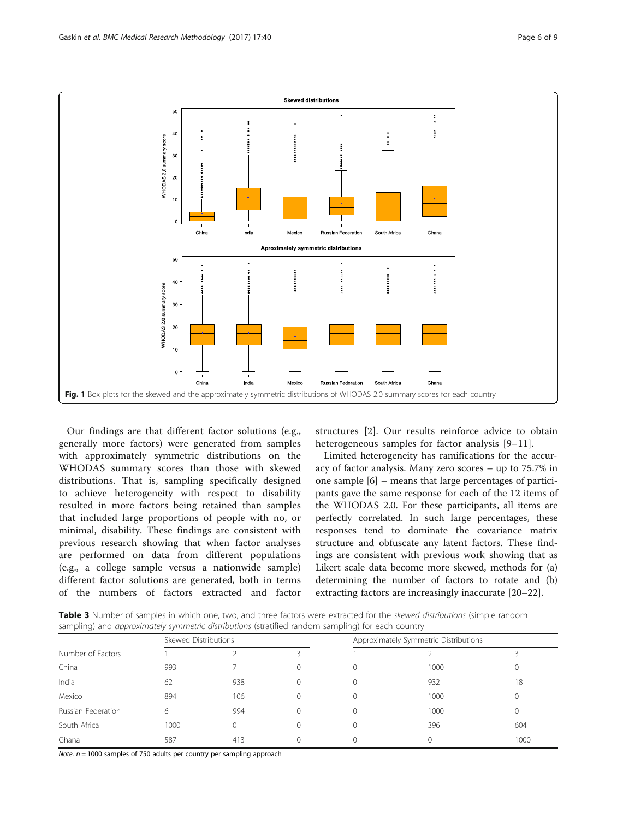<span id="page-5-0"></span>

Our findings are that different factor solutions (e.g., generally more factors) were generated from samples with approximately symmetric distributions on the WHODAS summary scores than those with skewed distributions. That is, sampling specifically designed to achieve heterogeneity with respect to disability resulted in more factors being retained than samples that included large proportions of people with no, or minimal, disability. These findings are consistent with previous research showing that when factor analyses are performed on data from different populations (e.g., a college sample versus a nationwide sample) different factor solutions are generated, both in terms of the numbers of factors extracted and factor

structures [[2\]](#page-8-0). Our results reinforce advice to obtain heterogeneous samples for factor analysis [[9](#page-8-0)–[11](#page-8-0)].

Limited heterogeneity has ramifications for the accuracy of factor analysis. Many zero scores – up to 75.7% in one sample [\[6\]](#page-8-0) – means that large percentages of participants gave the same response for each of the 12 items of the WHODAS 2.0. For these participants, all items are perfectly correlated. In such large percentages, these responses tend to dominate the covariance matrix structure and obfuscate any latent factors. These findings are consistent with previous work showing that as Likert scale data become more skewed, methods for (a) determining the number of factors to rotate and (b) extracting factors are increasingly inaccurate [[20](#page-8-0)–[22](#page-8-0)].

Table 3 Number of samples in which one, two, and three factors were extracted for the skewed distributions (simple random sampling) and *approximately symmetric distributions* (stratified random sampling) for each country

| Number of Factors  | Skewed Distributions |     | Approximately Symmetric Distributions |      |      |  |  |  |  |
|--------------------|----------------------|-----|---------------------------------------|------|------|--|--|--|--|
|                    |                      |     |                                       |      |      |  |  |  |  |
| China              | 993                  |     |                                       | 1000 |      |  |  |  |  |
| India              | 62                   | 938 |                                       | 932  | 18   |  |  |  |  |
| Mexico             | 894                  | 106 |                                       | 1000 |      |  |  |  |  |
| Russian Federation | 6                    | 994 |                                       | 1000 |      |  |  |  |  |
| South Africa       | 1000                 |     |                                       | 396  | 604  |  |  |  |  |
| Ghana              | 587                  | 413 |                                       | 0    | 1000 |  |  |  |  |

Note.  $n = 1000$  samples of 750 adults per country per sampling approach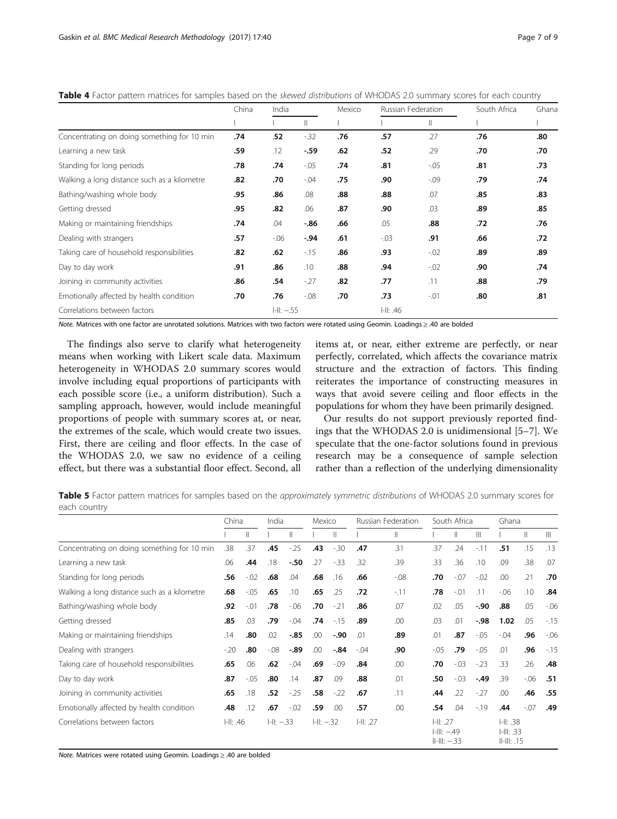|                                             | China | India    |         | Mexico |        | Russian Federation | South Africa | Ghana |  |
|---------------------------------------------|-------|----------|---------|--------|--------|--------------------|--------------|-------|--|
|                                             |       |          |         |        |        | $\mathbf{I}$       |              |       |  |
| Concentrating on doing something for 10 min | .74   | .52      | $-32$   | .76    | .57    | .27                | .76          | .80   |  |
| Learning a new task                         | .59   | .12      | $-59$   | .62    | .52    | .29                | .70          | .70   |  |
| Standing for long periods                   | .78   | .74      | $-0.05$ | .74    | .81    | $-0.05$            | .81          | .73   |  |
| Walking a long distance such as a kilometre | .82   | .70      | $-0.04$ | .75    | .90    | $-09$              | .79          | .74   |  |
| Bathing/washing whole body                  | .95   | .86      | .08     | .88    | .88    | .07                | .85          | .83   |  |
| Getting dressed                             | .95   | .82      | .06     | .87    | .90    | .03                | .89          | .85   |  |
| Making or maintaining friendships           | .74   | .04      | -.86    | .66    | .05    | .88                | .72          | .76   |  |
| Dealing with strangers                      | .57   | $-06$    | -.94    | .61    | $-03$  | .91                | .66          | .72   |  |
| Taking care of household responsibilities   | .82   | .62      | $-15$   | .86    | .93    | $-0.02$            | .89          | .89   |  |
| Day to day work                             | .91   | .86      | .10     | .88    | .94    | $-0.02$            | .90          | .74   |  |
| Joining in community activities             | .86   | .54      | $-27$   | .82    | .77    | .11                | .88          | .79   |  |
| Emotionally affected by health condition    | .70   | .76      | $-0.08$ | .70    | .73    | $-.01$             | .80          | .81   |  |
| Correlations between factors                |       | $H: -55$ |         |        | H: .46 |                    |              |       |  |

<span id="page-6-0"></span>Table 4 Factor pattern matrices for samples based on the skewed distributions of WHODAS 2.0 summary scores for each country

Note. Matrices with one factor are unrotated solutions. Matrices with two factors were rotated using Geomin. Loadings ≥ .40 are bolded

The findings also serve to clarify what heterogeneity means when working with Likert scale data. Maximum heterogeneity in WHODAS 2.0 summary scores would involve including equal proportions of participants with each possible score (i.e., a uniform distribution). Such a sampling approach, however, would include meaningful proportions of people with summary scores at, or near, the extremes of the scale, which would create two issues. First, there are ceiling and floor effects. In the case of the WHODAS 2.0, we saw no evidence of a ceiling effect, but there was a substantial floor effect. Second, all

items at, or near, either extreme are perfectly, or near perfectly, correlated, which affects the covariance matrix structure and the extraction of factors. This finding reiterates the importance of constructing measures in ways that avoid severe ceiling and floor effects in the populations for whom they have been primarily designed.

Our results do not support previously reported findings that the WHODAS 2.0 is unidimensional [\[5](#page-8-0)–[7\]](#page-8-0). We speculate that the one-factor solutions found in previous research may be a consequence of sample selection rather than a reflection of the underlying dimensionality

Table 5 Factor pattern matrices for samples based on the approximately symmetric distributions of WHODAS 2.0 summary scores for each country

|                                             | China  |             | India    |              | Mexico   |               | Russian Federation |              | South Africa                           |               |         | Ghana                                  |              |              |
|---------------------------------------------|--------|-------------|----------|--------------|----------|---------------|--------------------|--------------|----------------------------------------|---------------|---------|----------------------------------------|--------------|--------------|
|                                             |        | $\parallel$ |          | $\mathbb{I}$ |          | $\mathsf{II}$ |                    | $\mathbb{I}$ |                                        | $\mathbf{  }$ | Ш       |                                        | $\mathbb{I}$ | $\mathbb{H}$ |
| Concentrating on doing something for 10 min | .38    | .37         | .45      | $-25$        | .43      | $-30$         | .47                | .31          | .37                                    | .24           | $-11$   | .51                                    | .15          | .13          |
| Learning a new task                         | .06    | .44         | .18      | $-.50$       | .27      | $-33$         | .32                | .39          | .33                                    | .36           | .10     | .09                                    | .38          | .07          |
| Standing for long periods                   | .56    | $-0.02$     | .68      | .04          | .68      | .16           | .66                | $-0.08$      | .70                                    | $-.07$        | $-0.02$ | .00                                    | .21          | .70          |
| Walking a long distance such as a kilometre | .68    | $-0.05$     | .65      | .10          | .65      | .25           | .72                | $-11$        | .78                                    | $-.01$        | .11     | $-06$                                  | .10          | .84          |
| Bathing/washing whole body                  | .92    | $-.01$      | .78      | $-06$        | .70      | $-21$         | .86                | .07          | .02                                    | .05           | $-90$   | .88                                    | .05          | $-06$        |
| Getting dressed                             | .85    | .03         | .79      | $-.04$       | .74      | $-15$         | .89                | .00          | .03                                    | .01           | $-98$   | 1.02                                   | .05          | $-15$        |
| Making or maintaining friendships           | .14    | .80         | .02      | $-.85$       | .00      | $-0.90$       | .01                | .89          | .01                                    | .87           | $-0.05$ | $-.04$                                 | .96          | $-06$        |
| Dealing with strangers                      | $-20$  | .80         | $-0.08$  | $-.89$       | .00      | -.84          | $-.04$             | .90          | $-0.05$                                | .79           | $-0.05$ | .01                                    | .96          | $-15$        |
| Taking care of household responsibilities   | .65    | .06         | .62      | $-.04$       | .69      | $-0.09$       | .84                | .00          | .70                                    | $-.03$        | $-23$   | .33                                    | .26          | .48          |
| Day to day work                             | .87    | $-0.05$     | .80      | .14          | .87      | .09           | .88                | .01          | .50                                    | $-0.03$       | $-49$   | .39                                    | $-06$        | .51          |
| Joining in community activities             | .65    | .18         | .52      | $-25$        | .58      | $-22$         | .67                | .11          | .44                                    | .22           | $-27$   | .00                                    | .46          | .55          |
| Emotionally affected by health condition    | .48    | .12         | .67      | $-0.02$      | .59      | .00           | .57                | .00          | .54                                    | .04           | $-19$   | .44                                    | $-0.07$      | .49          |
| Correlations between factors                | H: .46 |             | $H: -33$ |              | $H: -32$ |               | $  -    $ : .27    |              | H: .27<br>$H  : -49$<br>$II-III: -.33$ |               |         | H: .38<br>H  : .33<br>$II$ -III: $.15$ |              |              |

Note. Matrices were rotated using Geomin. Loadings ≥ .40 are bolded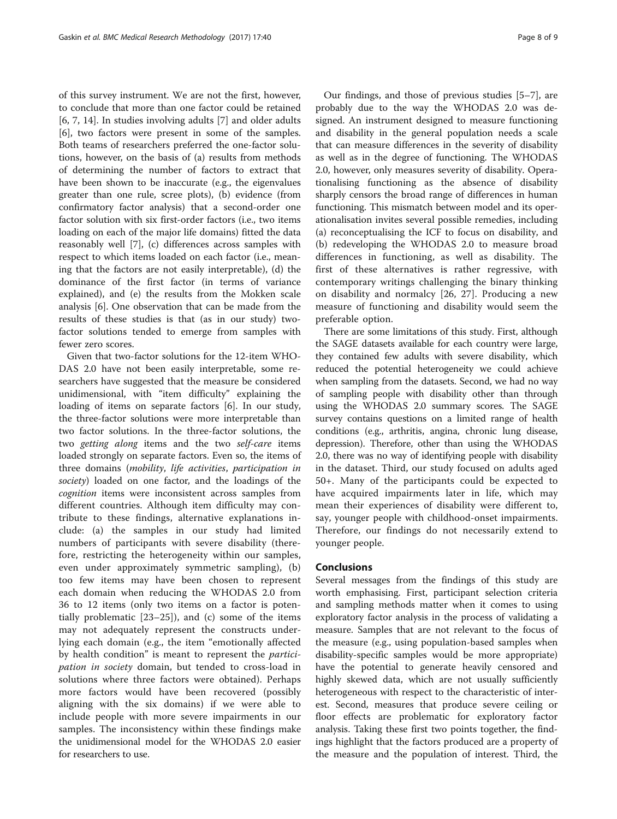of this survey instrument. We are not the first, however, to conclude that more than one factor could be retained [[6, 7, 14\]](#page-8-0). In studies involving adults [[7\]](#page-8-0) and older adults [[6\]](#page-8-0), two factors were present in some of the samples. Both teams of researchers preferred the one-factor solutions, however, on the basis of (a) results from methods of determining the number of factors to extract that have been shown to be inaccurate (e.g., the eigenvalues greater than one rule, scree plots), (b) evidence (from confirmatory factor analysis) that a second-order one factor solution with six first-order factors (i.e., two items loading on each of the major life domains) fitted the data reasonably well [\[7](#page-8-0)], (c) differences across samples with respect to which items loaded on each factor (i.e., meaning that the factors are not easily interpretable), (d) the dominance of the first factor (in terms of variance explained), and (e) the results from the Mokken scale analysis [\[6](#page-8-0)]. One observation that can be made from the results of these studies is that (as in our study) twofactor solutions tended to emerge from samples with fewer zero scores.

Given that two-factor solutions for the 12-item WHO-DAS 2.0 have not been easily interpretable, some researchers have suggested that the measure be considered unidimensional, with "item difficulty" explaining the loading of items on separate factors [\[6](#page-8-0)]. In our study, the three-factor solutions were more interpretable than two factor solutions. In the three-factor solutions, the two getting along items and the two self-care items loaded strongly on separate factors. Even so, the items of three domains (mobility, life activities, participation in society) loaded on one factor, and the loadings of the cognition items were inconsistent across samples from different countries. Although item difficulty may contribute to these findings, alternative explanations include: (a) the samples in our study had limited numbers of participants with severe disability (therefore, restricting the heterogeneity within our samples, even under approximately symmetric sampling), (b) too few items may have been chosen to represent each domain when reducing the WHODAS 2.0 from 36 to 12 items (only two items on a factor is potentially problematic [\[23](#page-8-0)–[25](#page-8-0)]), and (c) some of the items may not adequately represent the constructs underlying each domain (e.g., the item "emotionally affected by health condition" is meant to represent the participation in society domain, but tended to cross-load in solutions where three factors were obtained). Perhaps more factors would have been recovered (possibly aligning with the six domains) if we were able to include people with more severe impairments in our samples. The inconsistency within these findings make the unidimensional model for the WHODAS 2.0 easier for researchers to use.

Our findings, and those of previous studies [\[5](#page-8-0)–[7](#page-8-0)], are probably due to the way the WHODAS 2.0 was designed. An instrument designed to measure functioning and disability in the general population needs a scale that can measure differences in the severity of disability as well as in the degree of functioning. The WHODAS 2.0, however, only measures severity of disability. Operationalising functioning as the absence of disability sharply censors the broad range of differences in human functioning. This mismatch between model and its operationalisation invites several possible remedies, including (a) reconceptualising the ICF to focus on disability, and (b) redeveloping the WHODAS 2.0 to measure broad differences in functioning, as well as disability. The first of these alternatives is rather regressive, with contemporary writings challenging the binary thinking on disability and normalcy [\[26](#page-8-0), [27](#page-8-0)]. Producing a new measure of functioning and disability would seem the preferable option.

There are some limitations of this study. First, although the SAGE datasets available for each country were large, they contained few adults with severe disability, which reduced the potential heterogeneity we could achieve when sampling from the datasets. Second, we had no way of sampling people with disability other than through using the WHODAS 2.0 summary scores. The SAGE survey contains questions on a limited range of health conditions (e.g., arthritis, angina, chronic lung disease, depression). Therefore, other than using the WHODAS 2.0, there was no way of identifying people with disability in the dataset. Third, our study focused on adults aged 50+. Many of the participants could be expected to have acquired impairments later in life, which may mean their experiences of disability were different to, say, younger people with childhood-onset impairments. Therefore, our findings do not necessarily extend to younger people.

#### Conclusions

Several messages from the findings of this study are worth emphasising. First, participant selection criteria and sampling methods matter when it comes to using exploratory factor analysis in the process of validating a measure. Samples that are not relevant to the focus of the measure (e.g., using population-based samples when disability-specific samples would be more appropriate) have the potential to generate heavily censored and highly skewed data, which are not usually sufficiently heterogeneous with respect to the characteristic of interest. Second, measures that produce severe ceiling or floor effects are problematic for exploratory factor analysis. Taking these first two points together, the findings highlight that the factors produced are a property of the measure and the population of interest. Third, the